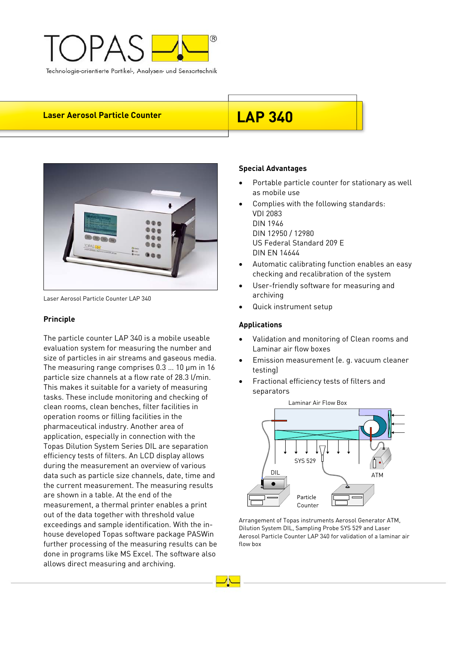

# **Laser Aerosol Particle Counter LAP 340**



Laser Aerosol Particle Counter LAP 340

### **Principle**

The particle counter LAP 340 is a mobile useable evaluation system for measuring the number and size of particles in air streams and gaseous media. The measuring range comprises 0.3 … 10 μm in 16 particle size channels at a flow rate of 28.3 l/min. This makes it suitable for a variety of measuring tasks. These include monitoring and checking of clean rooms, clean benches, filter facilities in operation rooms or filling facilities in the pharmaceutical industry. Another area of application, especially in connection with the Topas Dilution System Series DIL are separation efficiency tests of filters. An LCD display allows during the measurement an overview of various data such as particle size channels, date, time and the current measurement. The measuring results are shown in a table. At the end of the measurement, a thermal printer enables a print out of the data together with threshold value exceedings and sample identification. With the inhouse developed Topas software package PASWin further processing of the measuring results can be done in programs like MS Excel. The software also allows direct measuring and archiving.

### **Special Advantages**

- Portable particle counter for stationary as well as mobile use
- Complies with the following standards: VDI 2083 DIN 1946 DIN 12950 / 12980 US Federal Standard 209 E
- Automatic calibrating function enables an easy checking and recalibration of the system
- User-friendly software for measuring and archiving
- Quick instrument setup

### **Applications**

- Validation and monitoring of Clean rooms and Laminar air flow boxes
- Emission measurement (e. g. vacuum cleaner testing)
- Fractional efficiency tests of filters and separators



Arrangement of Topas instruments Aerosol Generator ATM, Dilution System DIL, Sampling Probe SYS 529 and Laser Aerosol Particle Counter LAP 340 for validation of a laminar air flow box

DIN EN 14644

- 
-